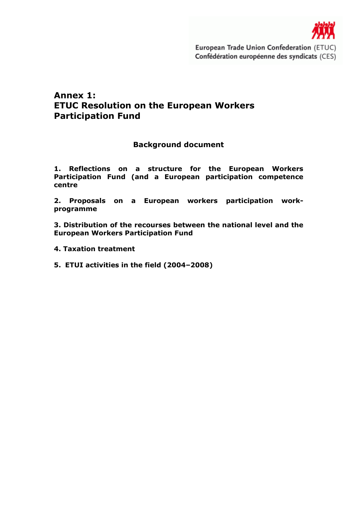

# Annex 1: ETUC Resolution on the European Workers Participation Fund

# Background document

1. Reflections on a structure for the European Workers Participation Fund (and a European participation competence centre

2. Proposals on a European workers participation workprogramme

3. Distribution of the recourses between the national level and the European Workers Participation Fund

- 4. Taxation treatment
- 5. ETUI activities in the field (2004–2008)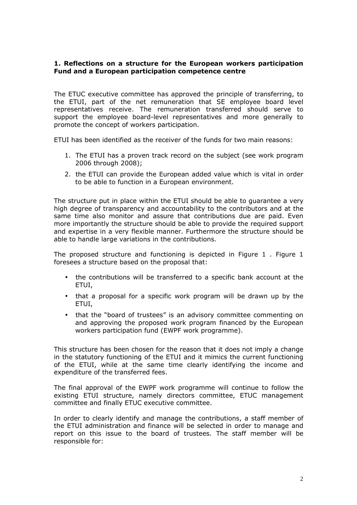### 1. Reflections on a structure for the European workers participation Fund and a European participation competence centre

The ETUC executive committee has approved the principle of transferring, to the ETUI, part of the net remuneration that SE employee board level representatives receive. The remuneration transferred should serve to support the employee board-level representatives and more generally to promote the concept of workers participation.

ETUI has been identified as the receiver of the funds for two main reasons:

- 1. The ETUI has a proven track record on the subject (see work program 2006 through 2008);
- 2. the ETUI can provide the European added value which is vital in order to be able to function in a European environment.

The structure put in place within the ETUI should be able to guarantee a very high degree of transparency and accountability to the contributors and at the same time also monitor and assure that contributions due are paid. Even more importantly the structure should be able to provide the required support and expertise in a very flexible manner. Furthermore the structure should be able to handle large variations in the contributions.

The proposed structure and functioning is depicted in Figure 1 . Figure 1 foresees a structure based on the proposal that:

- the contributions will be transferred to a specific bank account at the ETUI,
- that a proposal for a specific work program will be drawn up by the ETUI,
- that the "board of trustees" is an advisory committee commenting on and approving the proposed work program financed by the European workers participation fund (EWPF work programme).

This structure has been chosen for the reason that it does not imply a change in the statutory functioning of the ETUI and it mimics the current functioning of the ETUI, while at the same time clearly identifying the income and expenditure of the transferred fees.

The final approval of the EWPF work programme will continue to follow the existing ETUI structure, namely directors committee, ETUC management committee and finally ETUC executive committee.

In order to clearly identify and manage the contributions, a staff member of the ETUI administration and finance will be selected in order to manage and report on this issue to the board of trustees. The staff member will be responsible for: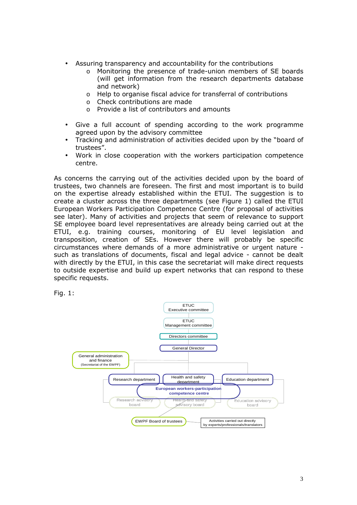- Assuring transparency and accountability for the contributions
	- o Monitoring the presence of trade-union members of SE boards (will get information from the research departments database and network)
	- o Help to organise fiscal advice for transferral of contributions
	- o Check contributions are made
	- o Provide a list of contributors and amounts
- Give a full account of spending according to the work programme agreed upon by the advisory committee
- Tracking and administration of activities decided upon by the "board of trustees".
- Work in close cooperation with the workers participation competence centre.

As concerns the carrying out of the activities decided upon by the board of trustees, two channels are foreseen. The first and most important is to build on the expertise already established within the ETUI. The suggestion is to create a cluster across the three departments (see Figure 1) called the ETUI European Workers Participation Competence Centre (for proposal of activities see later). Many of activities and projects that seem of relevance to support SE employee board level representatives are already being carried out at the ETUI, e.g. training courses, monitoring of EU level legislation and transposition, creation of SEs. However there will probably be specific circumstances where demands of a more administrative or urgent nature such as translations of documents, fiscal and legal advice - cannot be dealt with directly by the ETUI, in this case the secretariat will make direct requests to outside expertise and build up expert networks that can respond to these specific requests.



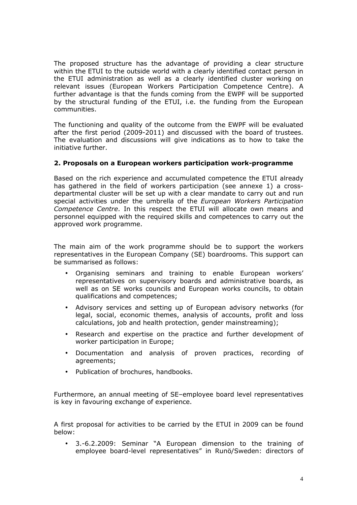The proposed structure has the advantage of providing a clear structure within the ETUI to the outside world with a clearly identified contact person in the ETUI administration as well as a clearly identified cluster working on relevant issues (European Workers Participation Competence Centre). A further advantage is that the funds coming from the EWPF will be supported by the structural funding of the ETUI, i.e. the funding from the European communities.

The functioning and quality of the outcome from the EWPF will be evaluated after the first period (2009-2011) and discussed with the board of trustees. The evaluation and discussions will give indications as to how to take the initiative further.

### 2. Proposals on a European workers participation work-programme

Based on the rich experience and accumulated competence the ETUI already has gathered in the field of workers participation (see annexe 1) a crossdepartmental cluster will be set up with a clear mandate to carry out and run special activities under the umbrella of the European Workers Participation Competence Centre. In this respect the ETUI will allocate own means and personnel equipped with the required skills and competences to carry out the approved work programme.

The main aim of the work programme should be to support the workers representatives in the European Company (SE) boardrooms. This support can be summarised as follows:

- Organising seminars and training to enable European workers' representatives on supervisory boards and administrative boards, as well as on SE works councils and European works councils, to obtain qualifications and competences;
- Advisory services and setting up of European advisory networks (for legal, social, economic themes, analysis of accounts, profit and loss calculations, job and health protection, gender mainstreaming);
- Research and expertise on the practice and further development of worker participation in Europe;
- Documentation and analysis of proven practices, recording of agreements;
- Publication of brochures, handbooks.

Furthermore, an annual meeting of SE–employee board level representatives is key in favouring exchange of experience.

A first proposal for activities to be carried by the ETUI in 2009 can be found below:

• 3.-6.2.2009: Seminar "A European dimension to the training of employee board-level representatives" in Runö/Sweden: directors of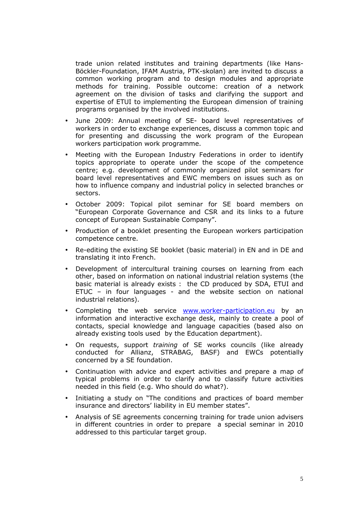trade union related institutes and training departments (like Hans-Böckler-Foundation, IFAM Austria, PTK-skolan) are invited to discuss a common working program and to design modules and appropriate methods for training. Possible outcome: creation of a network agreement on the division of tasks and clarifying the support and expertise of ETUI to implementing the European dimension of training programs organised by the involved institutions.

- June 2009: Annual meeting of SE- board level representatives of workers in order to exchange experiences, discuss a common topic and for presenting and discussing the work program of the European workers participation work programme.
- Meeting with the European Industry Federations in order to identify topics appropriate to operate under the scope of the competence centre; e.g. development of commonly organized pilot seminars for board level representatives and EWC members on issues such as on how to influence company and industrial policy in selected branches or sectors.
- October 2009: Topical pilot seminar for SE board members on "European Corporate Governance and CSR and its links to a future concept of European Sustainable Company".
- Production of a booklet presenting the European workers participation competence centre.
- Re-editing the existing SE booklet (basic material) in EN and in DE and translating it into French.
- Development of intercultural training courses on learning from each other, based on information on national industrial relation systems (the basic material is already exists : the CD produced by SDA, ETUI and ETUC – in four languages - and the website section on national industrial relations).
- Completing the web service www.worker-participation.eu by an information and interactive exchange desk, mainly to create a pool of contacts, special knowledge and language capacities (based also on already existing tools used by the Education department).
- On requests, support training of SE works councils (like already conducted for Allianz, STRABAG, BASF) and EWCs potentially concerned by a SE foundation.
- Continuation with advice and expert activities and prepare a map of typical problems in order to clarify and to classify future activities needed in this field (e.g. Who should do what?).
- Initiating a study on "The conditions and practices of board member insurance and directors' liability in EU member states".
- Analysis of SE agreements concerning training for trade union advisers in different countries in order to prepare a special seminar in 2010 addressed to this particular target group.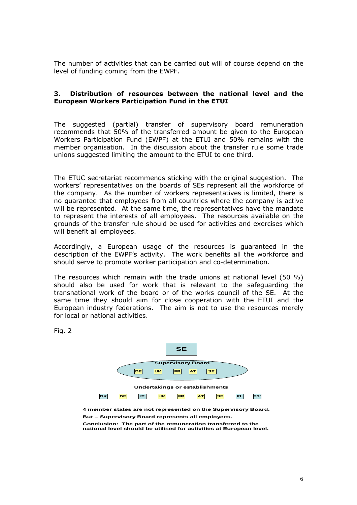The number of activities that can be carried out will of course depend on the level of funding coming from the EWPF.

#### 3. Distribution of resources between the national level and the European Workers Participation Fund in the ETUI

The suggested (partial) transfer of supervisory board remuneration recommends that 50% of the transferred amount be given to the European Workers Participation Fund (EWPF) at the ETUI and 50% remains with the member organisation. In the discussion about the transfer rule some trade unions suggested limiting the amount to the ETUI to one third.

The ETUC secretariat recommends sticking with the original suggestion. The workers' representatives on the boards of SEs represent all the workforce of the company. As the number of workers representatives is limited, there is no guarantee that employees from all countries where the company is active will be represented. At the same time, the representatives have the mandate to represent the interests of all employees. The resources available on the grounds of the transfer rule should be used for activities and exercises which will benefit all employees.

Accordingly, a European usage of the resources is guaranteed in the description of the EWPF's activity. The work benefits all the workforce and should serve to promote worker participation and co-determination.

The resources which remain with the trade unions at national level (50 %) should also be used for work that is relevant to the safeguarding the transnational work of the board or of the works council of the SE. At the same time they should aim for close cooperation with the ETUI and the European industry federations. The aim is not to use the resources merely for local or national activities.

Fig. 2



**4 member states are not represented on the Supervisory Board. But – Supervisory Board represents all employees.**

**Conclusion: The part of the remuneration transferred to the national level should be utilised for activities at European level.**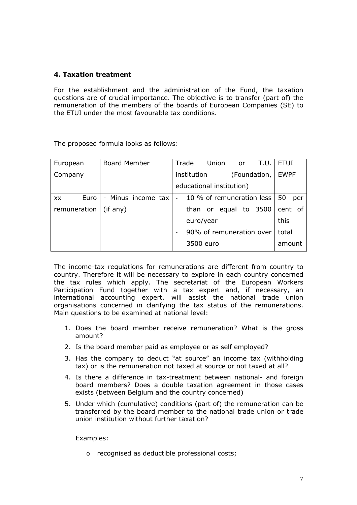### 4. Taxation treatment

For the establishment and the administration of the Fund, the taxation questions are of crucial importance. The objective is to transfer (part of) the remuneration of the members of the boards of European Companies (SE) to the ETUI under the most favourable tax conditions.

The proposed formula looks as follows:

| European     | <b>Board Member</b> | Trade<br>Union<br>T.U.<br>or                          | <b>ETUI</b> |
|--------------|---------------------|-------------------------------------------------------|-------------|
| Company      |                     | institution<br>(Foundation,                           | <b>EWPF</b> |
|              |                     | educational institution)                              |             |
| Euro<br>XX.  | - Minus income tax  | 10 % of remuneration less<br>$\overline{\phantom{0}}$ | 50<br>per   |
| remuneration | $(if$ any)          | than or equal to 3500                                 | cent of     |
|              |                     | euro/year                                             | this        |
|              |                     | 90% of remuneration over                              | total       |
|              |                     | 3500 euro                                             | amount      |

The income-tax regulations for remunerations are different from country to country. Therefore it will be necessary to explore in each country concerned the tax rules which apply. The secretariat of the European Workers Participation Fund together with a tax expert and, if necessary, an international accounting expert, will assist the national trade union organisations concerned in clarifying the tax status of the remunerations. Main questions to be examined at national level:

- 1. Does the board member receive remuneration? What is the gross amount?
- 2. Is the board member paid as employee or as self employed?
- 3. Has the company to deduct "at source" an income tax (withholding tax) or is the remuneration not taxed at source or not taxed at all?
- 4. Is there a difference in tax-treatment between national- and foreign board members? Does a double taxation agreement in those cases exists (between Belgium and the country concerned)
- 5. Under which (cumulative) conditions (part of) the remuneration can be transferred by the board member to the national trade union or trade union institution without further taxation?

Examples:

o recognised as deductible professional costs;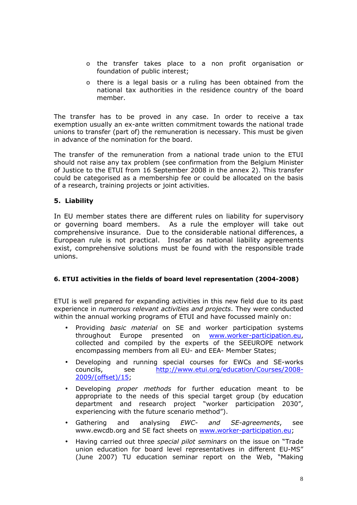- o the transfer takes place to a non profit organisation or foundation of public interest;
- o there is a legal basis or a ruling has been obtained from the national tax authorities in the residence country of the board member.

The transfer has to be proved in any case. In order to receive a tax exemption usually an ex-ante written commitment towards the national trade unions to transfer (part of) the remuneration is necessary. This must be given in advance of the nomination for the board.

The transfer of the remuneration from a national trade union to the ETUI should not raise any tax problem (see confirmation from the Belgium Minister of Justice to the ETUI from 16 September 2008 in the annex 2). This transfer could be categorised as a membership fee or could be allocated on the basis of a research, training projects or joint activities.

## 5. Liability

In EU member states there are different rules on liability for supervisory or governing board members. As a rule the employer will take out comprehensive insurance. Due to the considerable national differences, a European rule is not practical. Insofar as national liability agreements exist, comprehensive solutions must be found with the responsible trade unions.

### 6. ETUI activities in the fields of board level representation (2004-2008)

ETUI is well prepared for expanding activities in this new field due to its past experience in numerous relevant activities and projects. They were conducted within the annual working programs of ETUI and have focussed mainly on:

- Providing *basic material* on SE and worker participation systems throughout Europe presented on www.worker-participation.eu, collected and compiled by the experts of the SEEUROPE network encompassing members from all EU- and EEA- Member States;
- Developing and running special courses for EWCs and SE-works councils, see http://www.etui.org/education/Courses/2008- 2009/(offset)/15;
- Developing proper methods for further education meant to be appropriate to the needs of this special target group (by education department and research project "worker participation 2030", experiencing with the future scenario method").
- Gathering and analysing *EWC- and SE-agreements*, see www.ewcdb.org and SE fact sheets on www.worker-participation.eu;
- Having carried out three special pilot seminars on the issue on "Trade union education for board level representatives in different EU-MS" (June 2007) TU education seminar report on the Web, "Making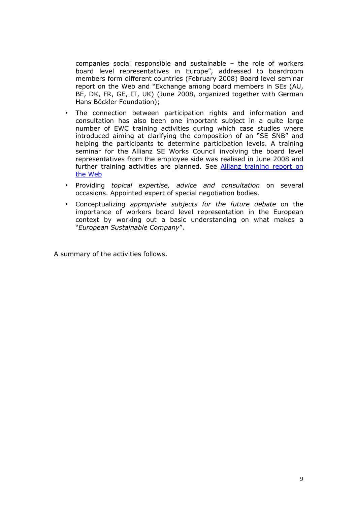companies social responsible and sustainable – the role of workers board level representatives in Europe", addressed to boardroom members form different countries (February 2008) Board level seminar report on the Web and "Exchange among board members in SEs (AU, BE, DK, FR, GE, IT, UK) (June 2008, organized together with German Hans Böckler Foundation);

- The connection between participation rights and information and consultation has also been one important subject in a quite large number of EWC training activities during which case studies where introduced aiming at clarifying the composition of an "SE SNB" and helping the participants to determine participation levels. A training seminar for the Allianz SE Works Council involving the board level representatives from the employee side was realised in June 2008 and further training activities are planned. See **Allianz training report on** the Web
- Providing topical expertise, advice and consultation on several occasions. Appointed expert of special negotiation bodies.
- Conceptualizing appropriate subjects for the future debate on the importance of workers board level representation in the European context by working out a basic understanding on what makes a "European Sustainable Company".

A summary of the activities follows.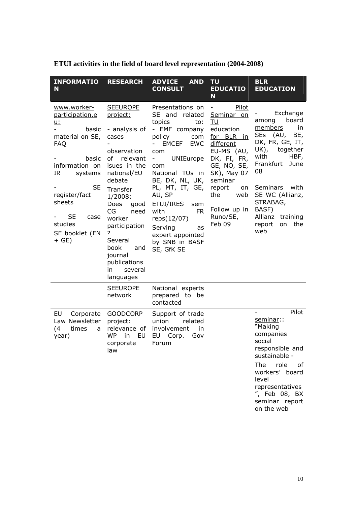| <b>INFORMATIO</b><br>N                                                                                                                                                                                                                 | <b>RESEARCH</b>                                                                                                                                                                                                                                                                                       | <b>ADVICE</b><br><b>AND</b><br><b>CONSULT</b>                                                                                                                                                                                                                                                                                                        | <b>TU</b><br><b>EDUCATIO</b><br>N                                                                                                                                                                                             | <b>BLR</b><br><b>EDUCATION</b>                                                                                                                                                                                                                                   |
|----------------------------------------------------------------------------------------------------------------------------------------------------------------------------------------------------------------------------------------|-------------------------------------------------------------------------------------------------------------------------------------------------------------------------------------------------------------------------------------------------------------------------------------------------------|------------------------------------------------------------------------------------------------------------------------------------------------------------------------------------------------------------------------------------------------------------------------------------------------------------------------------------------------------|-------------------------------------------------------------------------------------------------------------------------------------------------------------------------------------------------------------------------------|------------------------------------------------------------------------------------------------------------------------------------------------------------------------------------------------------------------------------------------------------------------|
| www.worker-<br>participation.e<br><u>u:</u><br>basic<br>material on SE,<br><b>FAQ</b><br>basic<br>information on<br>IR<br>systems<br><b>SE</b><br>register/fact<br>sheets<br><b>SE</b><br>case<br>studies<br>SE booklet (EN<br>$+$ GE) | <b>SEEUROPE</b><br>project:<br>- analysis of<br>cases<br>observation<br>of relevant<br>isues in the<br>national/EU<br>debate<br>Transfer<br>1/2008:<br>Does<br>good<br>CG<br>need<br>worker<br>participation<br>?<br>Several<br>book<br>and<br>journal<br>publications<br>in.<br>several<br>languages | Presentations on<br>SE and related<br>topics<br>to:<br>- EMF company<br>policy<br>com<br><b>EMCEF</b><br><b>EWC</b><br>com<br>UNIEurope<br>۰.<br>com<br>National TUs in<br>BE, DK, NL, UK,<br>PL, MT, IT, GE,<br>AU, SP<br>ETUI/IRES<br>sem<br><b>FR</b><br>with<br>reps(12/07)<br>Serving<br>as<br>expert appointed<br>by SNB in BASF<br>SE, GfK SE | Pilot<br>$\blacksquare$<br>Seminar on<br>TU<br>education<br>for BLR in<br>different<br>EU-MS (AU,<br>DK, FI, FR,<br>GE, NO, SE,<br>SK), May 07<br>seminar<br>report<br>on<br>the<br>web<br>Follow up in<br>Runo/SE,<br>Feb 09 | Exchange<br>board<br>among<br>members<br>in.<br><b>SEs</b><br>(AU,<br>BE,<br>DK, FR, GE, IT,<br>UK), together<br>with<br>HBF,<br>Frankfurt<br>June<br>08<br>Seminars with<br>SE WC (Allianz,<br>STRABAG,<br>BASF)<br>Allianz training<br>on the<br>report<br>web |
|                                                                                                                                                                                                                                        | <b>SEEUROPE</b><br>network                                                                                                                                                                                                                                                                            | National experts<br>prepared to be<br>contacted                                                                                                                                                                                                                                                                                                      |                                                                                                                                                                                                                               |                                                                                                                                                                                                                                                                  |
| EU<br>Corporate<br>Law Newsletter<br>(4)<br>times<br>a<br>year)                                                                                                                                                                        | <b>GOODCORP</b><br>project:<br>relevance of<br><b>WP</b><br>EU<br>in<br>corporate<br>law                                                                                                                                                                                                              | Support of trade<br>union<br>related<br>involvement<br>in<br>EU<br>Corp.<br>Gov<br>Forum                                                                                                                                                                                                                                                             |                                                                                                                                                                                                                               | Pilot<br>$\overline{\phantom{0}}$<br>seminar::<br>"Making<br>companies<br>social<br>responsible and<br>sustainable -<br>role<br>The<br>of<br>workers' board<br>level<br>representatives<br>", Feb 08, BX<br>seminar report<br>on the web                         |

| ETUI activities in the field of board level representation (2004-2008) |  |  |  |  |
|------------------------------------------------------------------------|--|--|--|--|
|------------------------------------------------------------------------|--|--|--|--|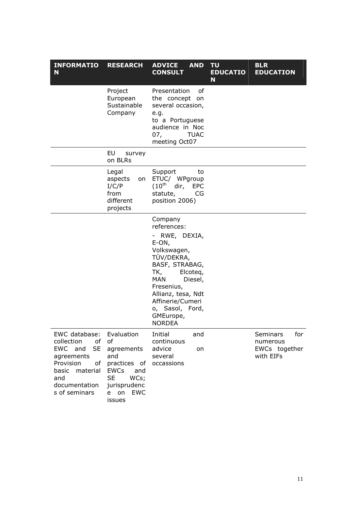| <b>INFORMATIO</b><br>N                                                                                                                                | <b>RESEARCH</b>                                                                                                                                  | <b>AND</b><br><b>ADVICE</b><br><b>CONSULT</b>                                                                                                                                                                                                        | <b>TU</b><br><b>EDUCATIO</b><br>N | <b>BLR</b><br><b>EDUCATION</b>                                   |
|-------------------------------------------------------------------------------------------------------------------------------------------------------|--------------------------------------------------------------------------------------------------------------------------------------------------|------------------------------------------------------------------------------------------------------------------------------------------------------------------------------------------------------------------------------------------------------|-----------------------------------|------------------------------------------------------------------|
|                                                                                                                                                       | Project<br>European<br>Sustainable<br>Company                                                                                                    | of<br>Presentation<br>the concept on<br>several occasion,<br>e.g.<br>to a Portuguese<br>audience in Noc<br>07,<br><b>TUAC</b><br>meeting Oct07                                                                                                       |                                   |                                                                  |
|                                                                                                                                                       | EU<br>survey<br>on BLRs                                                                                                                          |                                                                                                                                                                                                                                                      |                                   |                                                                  |
|                                                                                                                                                       | Legal<br>aspects<br>on<br>I/C/P<br>from<br>different<br>projects                                                                                 | Support<br>to<br>ETUC/ WPgroup<br>$(10^{\text{th}}$<br>dir,<br><b>EPC</b><br>statute,<br>CG<br>position 2006)                                                                                                                                        |                                   |                                                                  |
|                                                                                                                                                       |                                                                                                                                                  | Company<br>references:<br>- RWE, DEXIA,<br>E-ON,<br>Volkswagen,<br>TÜV/DEKRA,<br>BASF, STRABAG,<br>TK,<br>Elcoteg,<br><b>MAN</b><br>Diesel,<br>Fresenius,<br>Allianz, tesa, Ndt<br>Affinerie/Cumeri<br>o, Sasol, Ford,<br>GMEurope,<br><b>NORDEA</b> |                                   |                                                                  |
| EWC database:<br>collection<br>of<br><b>SE</b><br>EWC and<br>agreements<br>Provision<br>of<br>basic material<br>and<br>documentation<br>s of seminars | Evaluation<br>of<br>agreements<br>and<br>practices of<br><b>EWCs</b><br>and<br><b>SE</b><br>WCs;<br>jurisprudenc<br><b>EWC</b><br>e on<br>issues | Initial<br>and<br>continuous<br>advice<br>on<br>several<br>occassions                                                                                                                                                                                |                                   | <b>Seminars</b><br>for<br>numerous<br>EWCs together<br>with EIFs |